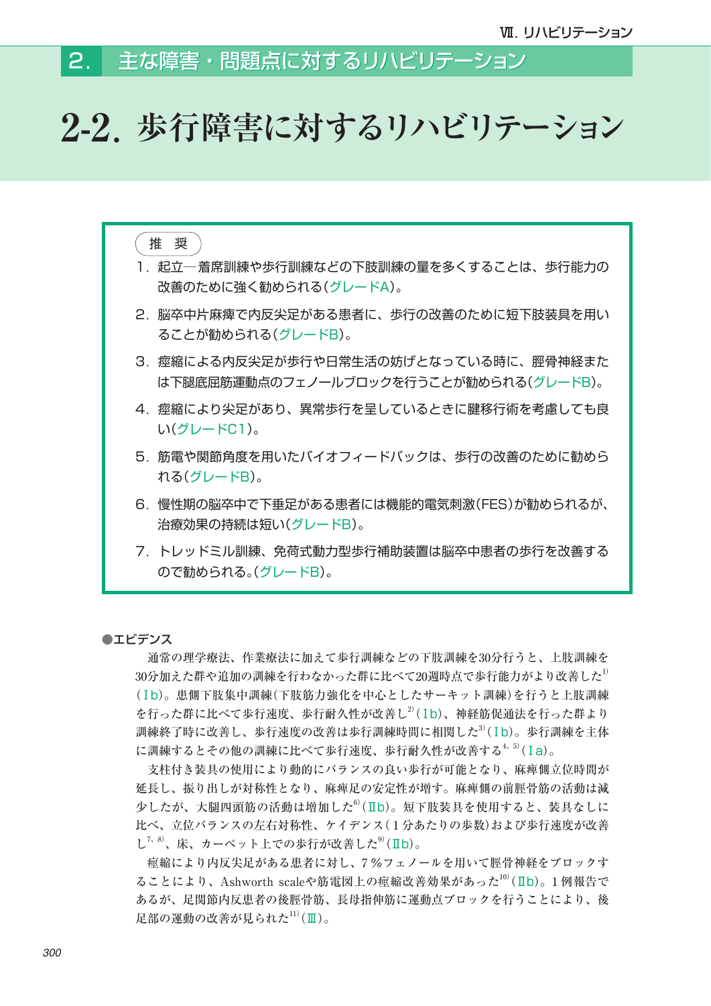#### 主な障害・問題点に対するリハビリテーション 2.

# **2-2.歩行障害に対するリハビリテーション**

## 推 奨

- 1. 起立─着席訓練や歩行訓練などの下肢訓練の量を多くすることは、歩行能力の 改善のために強く勧められる(グレードA)。
- 2. 脳卒中片麻痺で内反尖足がある患者に、歩行の改善のために短下肢装具を用い ることが勧められる(グレードB)。
- 3. 痙縮による内反尖足が歩行や日常生活の妨げとなっている時に、脛骨神経また は下腿底屈筋運動点のフェノールブロックを行うことが勧められる(グレードB)。
- 4. 痙縮により尖足があり、異常歩行を呈しているときに腱移行術を考慮しても良 い(グレードC1)。
- 5. 筋電や関節角度を用いたバイオフィードバックは、歩行の改善のために勧めら れる(グレードB)。
- 6. 慢性期の脳卒中で下垂足がある患者には機能的電気刺激(FES)が勧められるが、 治療効果の持続は短い(グレードB)。
- 7. トレッドミル訓練、免荷式動力型歩行補助装置は脳卒中患者の歩行を改善する ので勧められる。(グレードB)。

## ●エビデンス

 通常の理学療法、作業療法に加えて歩行訓練などの下肢訓練を30分行うと、上肢訓練を  $30$ 分加えた群や追加の訓練を行わなかった群に比べて20週時点で歩行能力がより改善した $^{11}$ (Ⅰb)。患側下肢集中訓練(下肢筋力強化を中心としたサーキット訓練)を行うと上肢訓練 を行った群に比べて歩行速度、歩行耐久性が改善し<sup>2)</sup>(Ib)、神経筋促通法を行った群より 訓練終了時に改善し、歩行速度の改善は歩行訓練時間に相関した3)(Ib)。歩行訓練を主体 に訓練するとその他の訓練に比べて歩行速度、歩行耐久性が改善する<sup>4、5)</sup>(Ia)。

 支柱付き装具の使用により動的にバランスの良い歩行が可能となり、麻痺側立位時間が 延長し、振り出しが対称性となり、麻痺足の安定性が増す。麻痺側の前脛骨筋の活動は減 少したが、大腿四頭筋の活動は増加した6)(Ⅱb)。短下肢装具を使用すると、装具なしに 比べ、立位バランスの左右対称性、ケイデンス( 1 分あたりの歩数)および歩行速度が改善  $L^{7, 8}$ 、床、カーペット上での歩行が改善した $9^9$ (Ⅱb)。

 痙縮により内反尖足がある患者に対し、7 %フェノールを用いて脛骨神経をブロックす ることにより、Ashworth scaleや筋電図上の痙縮改善効果があった<sup>10)</sup>(Ⅱb)。1 例報告で あるが、足関節内反患者の後脛骨筋、長母指伸筋に運動点ブロックを行うことにより、後 足部の運動の改善が見られた $11$ )(Ⅲ)。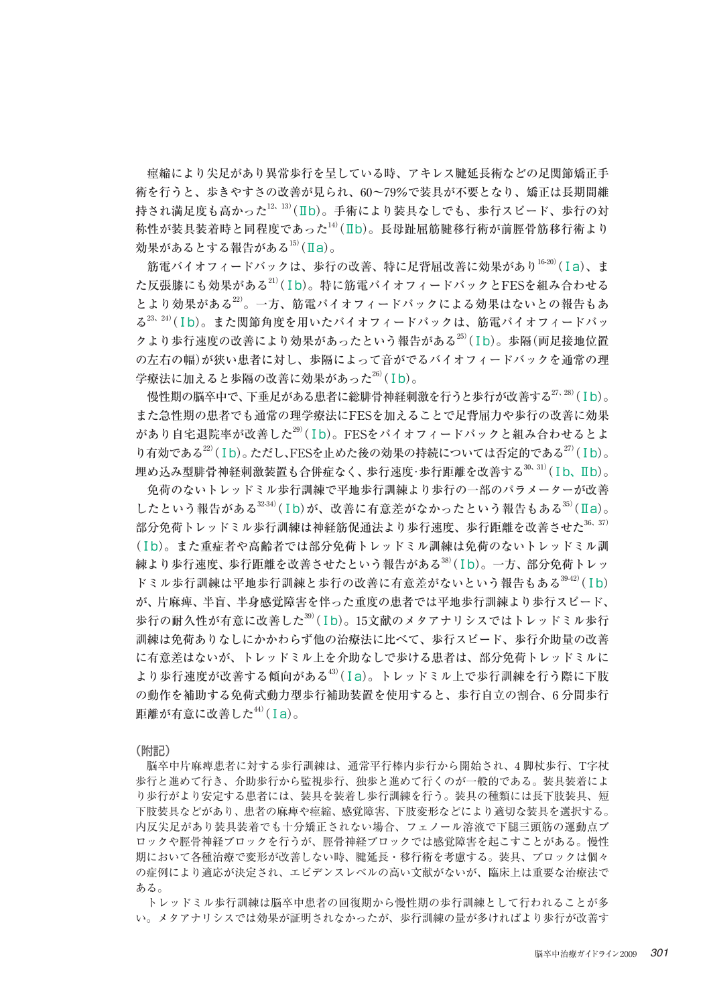痙縮により尖足があり異常歩行を呈している時、アキレス腱延長術などの足関節矯正手 術を行うと、歩きやすさの改善が見られ、60~79%で装具が不要となり、矯正は長期間維 持され満足度も高かった $12, 13$ )(IIb)。手術により装具なしでも、歩行スピード、歩行の対 称性が装具装着時と同程度であった<sup>14)</sup>(Ⅱb)。長母趾屈筋腱移行術が前脛骨筋移行術より 効果があるとする報告がある $^{15}$ (Ia)。

筋電バイオフィードバックは、歩行の改善、特に足背屈改善に効果があり $^{16-20)}$ (Ia)、ま た反張膝にも効果がある21)(Ⅰb)。特に筋電バイオフィードバックとFESを組み合わせる とより効果がある22)。一方、筋電バイオフィードバックによる効果はないとの報告もあ る23、24)(Ⅰb)。また関節角度を用いたバイオフィードバックは、筋電バイオフィードバッ クより歩行速度の改善により効果があったという報告がある<sup>25)</sup>(Ib)。歩隔(両足接地位置 の左右の幅)が狭い患者に対し、歩隔によって音がでるバイオフィードバックを通常の理 学療法に加えると歩隔の改善に効果があった $^{26)}$ (Ib)。

慢性期の脳卒中で、下垂足がある患者に総腓骨神経刺激を行うと歩行が改善する<sup>27、28)</sup>(Ⅰb)。 また急性期の患者でも通常の理学療法にFESを加えることで足背屈力や歩行の改善に効果 があり自宅退院率が改善した<sup>29)</sup>(Ib)。FESをバイオフィードバックと組み合わせるとよ り有効である $^{22)}$ (Ib)。ただし、FESを止めた後の効果の持続については否定的である $^{27)}$ (Ib)。 埋め込み型腓骨神経刺激装置も合併症なく、歩行速度·歩行距離を改善する<sup>30、31)</sup>(Ⅰb、Ⅱb)。

 免荷のないトレッドミル歩行訓練で平地歩行訓練より歩行の一部のパラメーターが改善  $L$ たという報告がある $32-34$ )(Ib)が、改善に有意差がなかったという報告もある $35$ )(Ia)。 部分免荷トレッドミル歩行訓練は神経筋促通法より歩行速度、歩行距離を改善させた<sup>36、37)</sup> (Ⅰb)。また重症者や高齢者では部分免荷トレッドミル訓練は免荷のないトレッドミル訓 練より歩行速度、歩行距離を改善させたという報告がある38)(Ib)。一方、部分免荷トレッ ドミル歩行訓練は平地歩行訓練と歩行の改善に有意差がないという報告もある39-42)(Ⅰb) が、片麻痺、半盲、半身感覚障害を伴った重度の患者では平地歩行訓練より歩行スピード、 歩行の耐久性が有意に改善した39)(Ⅰb)。15文献のメタアナリシスではトレッドミル歩行 訓練は免荷ありなしにかかわらず他の治療法に比べて、歩行スピード、歩行介助量の改善 に有意差はないが、トレッドミル上を介助なしで歩ける患者は、部分免荷トレッドミルに より歩行速度が改善する傾向がある43)(Ⅰa)。トレッドミル上で歩行訓練を行う際に下肢 の動作を補助する免荷式動力型歩行補助装置を使用すると、歩行自立の割合、6 分間歩行 距離が有意に改善した $44)$ (Ia)。

(附記)

 脳卒中片麻痺患者に対する歩行訓練は、通常平行棒内歩行から開始され、4 脚杖歩行、T字杖 歩行と進めて行き、介助歩行から監視歩行、独歩と進めて行くのが一般的である。装具装着によ り歩行がより安定する患者には、装具を装着し歩行訓練を行う。装具の種類には長下肢装具、短 下肢装具などがあり、患者の麻痺や痙縮、感覚障害、下肢変形などにより適切な装具を選択する。 内反尖足があり装具装着でも十分矯正されない場合、フェノール溶液で下腿三頭筋の運動点ブ ロックや脛骨神経ブロックを行うが、脛骨神経ブロックでは感覚障害を起こすことがある。慢性 期において各種治療で変形が改善しない時、腱延長・移行術を考慮する。装具、ブロックは個々 の症例により適応が決定され、エビデンスレベルの高い文献がないが、臨床上は重要な治療法で ある。

 トレッドミル歩行訓練は脳卒中患者の回復期から慢性期の歩行訓練として行われることが多 い。メタアナリシスでは効果が証明されなかったが、歩行訓練の量が多ければより歩行が改善す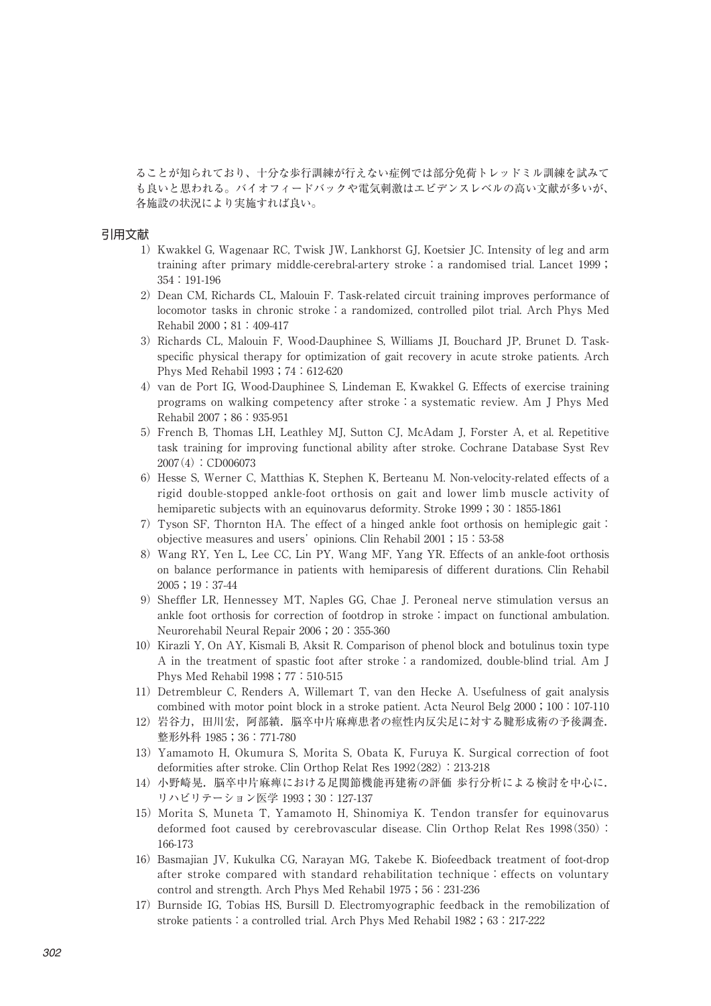ることが知られており、十分な歩行訓練が行えない症例では部分免荷トレッドミル訓練を試みて も良いと思われる。バイオフィードバックや電気刺激はエビデンスレベルの高い文献が多いが、 各施設の状況により実施すれば良い。

#### 引用文献

- 1)Kwakkel G, Wagenaar RC, Twisk JW, Lankhorst GJ, Koetsier JC. Intensity of leg and arm training after primary middle-cerebral-artery stroke: a randomised trial. Lancet 1999; 354:191-196
- 2) Dean CM, Richards CL, Malouin F. Task-related circuit training improves performance of locomotor tasks in chronic stroke: a randomized, controlled pilot trial. Arch Phys Med Rehabil 2000;81:409-417
- 3) Richards CL, Malouin F, Wood-Dauphinee S, Williams JI, Bouchard JP, Brunet D. Taskspecific physical therapy for optimization of gait recovery in acute stroke patients. Arch Phys Med Rehabil 1993;74:612-620
- 4) van de Port IG, Wood-Dauphinee S, Lindeman E, Kwakkel G. Effects of exercise training programs on walking competency after stroke:a systematic review. Am J Phys Med Rehabil 2007;86:935-951
- 5) French B, Thomas LH, Leathley MJ, Sutton CJ, McAdam J, Forster A, et al. Repetitive task training for improving functional ability after stroke. Cochrane Database Syst Rev 2007(4):CD006073
- 6) Hesse S, Werner C, Matthias K, Stephen K, Berteanu M, Non-velocity-related effects of a rigid double-stopped ankle-foot orthosis on gait and lower limb muscle activity of hemiparetic subjects with an equinovarus deformity. Stroke 1999;30:1855-1861
- 7) Tyson SF, Thornton HA. The effect of a hinged ankle foot orthosis on hemiplegic gait: objective measures and users' opinions. Clin Rehabil 2001;15:53-58
- 8) Wang RY, Yen L, Lee CC, Lin PY, Wang MF, Yang YR. Effects of an ankle-foot orthosis on balance performance in patients with hemiparesis of different durations. Clin Rehabil 2005;19:37-44
- 9)Sheffler LR, Hennessey MT, Naples GG, Chae J. Peroneal nerve stimulation versus an ankle foot orthosis for correction of footdrop in stroke:impact on functional ambulation. Neurorehabil Neural Repair 2006;20:355-360
- 10)Kirazli Y, On AY, Kismali B, Aksit R. Comparison of phenol block and botulinus toxin type A in the treatment of spastic foot after stroke:a randomized, double-blind trial. Am J Phys Med Rehabil 1998; 77:510-515
- 11) Detrembleur C, Renders A, Willemart T, van den Hecke A. Usefulness of gait analysis combined with motor point block in a stroke patient. Acta Neurol Belg  $2000$ ;  $100:107-110$
- 12) 岩谷力,田川宏,阿部績. 脳卒中片麻痺患者の痙性内反尖足に対する腱形成術の予後調査. 整形外科 1985;36:771-780
- 13)Yamamoto H, Okumura S, Morita S, Obata K, Furuya K. Surgical correction of foot deformities after stroke. Clin Orthop Relat Res 1992(282):213-218
- 14) 小野崎晃. 脳卒中片麻痺における足関節機能再建術の評価 歩行分析による検討を中心に. リハビリテーション医学 1993;30:127-137
- 15)Morita S, Muneta T, Yamamoto H, Shinomiya K. Tendon transfer for equinovarus deformed foot caused by cerebrovascular disease. Clin Orthop Relat Res 1998(350): 166-173
- 16) Basmajian JV, Kukulka CG, Narayan MG, Takebe K. Biofeedback treatment of foot-drop after stroke compared with standard rehabilitation technique: effects on voluntary control and strength. Arch Phys Med Rehabil 1975; 56:231-236
- 17)Burnside IG, Tobias HS, Bursill D. Electromyographic feedback in the remobilization of stroke patients: a controlled trial. Arch Phys Med Rehabil 1982; 63:217-222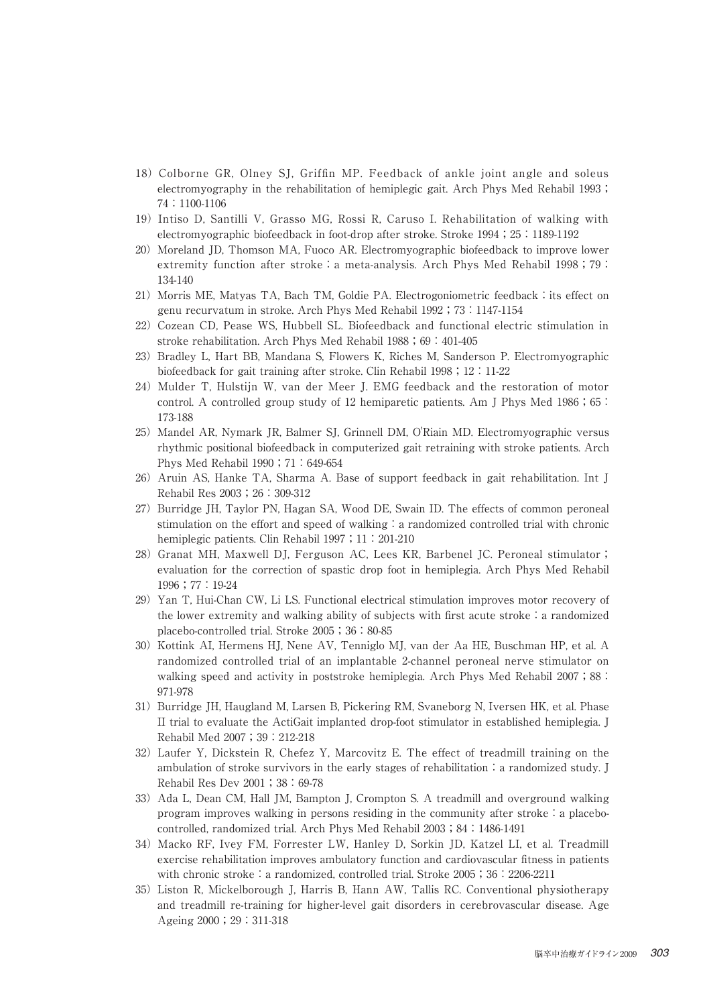- 18)Colborne GR, Olney SJ, Griffin MP. Feedback of ankle joint angle and soleus electromyography in the rehabilitation of hemiplegic gait. Arch Phys Med Rehabil 1993; 74:1100-1106
- 19)Intiso D, Santilli V, Grasso MG, Rossi R, Caruso I. Rehabilitation of walking with electromyographic biofeedback in foot-drop after stroke. Stroke 1994; 25:1189-1192
- 20) Moreland JD, Thomson MA, Fuoco AR. Electromyographic biofeedback to improve lower extremity function after stroke: a meta-analysis. Arch Phys Med Rehabil  $1998$ ; 79: 134-140
- 21) Morris ME, Matyas TA, Bach TM, Goldie PA. Electrogoniometric feedback: its effect on genu recurvatum in stroke. Arch Phys Med Rehabil 1992;73:1147-1154
- 22) Cozean CD, Pease WS, Hubbell SL. Biofeedback and functional electric stimulation in stroke rehabilitation. Arch Phys Med Rehabil 1988; 69:401-405
- 23) Bradley L, Hart BB, Mandana S, Flowers K, Riches M, Sanderson P. Electromyographic biofeedback for gait training after stroke. Clin Rehabil 1998; 12:11-22
- 24)Mulder T, Hulstijn W, van der Meer J. EMG feedback and the restoration of motor control. A controlled group study of 12 hemiparetic patients. Am J Phys Med  $1986$ ;  $65$ : 173-188
- 25)Mandel AR, Nymark JR, Balmer SJ, Grinnell DM, O'Riain MD. Electromyographic versus rhythmic positional biofeedback in computerized gait retraining with stroke patients. Arch Phys Med Rehabil 1990; 71:649-654
- 26)Aruin AS, Hanke TA, Sharma A. Base of support feedback in gait rehabilitation. Int J Rehabil Res 2003;26:309-312
- 27) Burridge JH, Taylor PN, Hagan SA, Wood DE, Swain ID, The effects of common peroneal stimulation on the effort and speed of walking: a randomized controlled trial with chronic hemiplegic patients. Clin Rehabil 1997; 11:201-210
- 28) Granat MH, Maxwell DJ, Ferguson AC, Lees KR, Barbenel JC. Peroneal stimulator; evaluation for the correction of spastic drop foot in hemiplegia. Arch Phys Med Rehabil 1996;77:19-24
- 29) Yan T, Hui-Chan CW, Li LS. Functional electrical stimulation improves motor recovery of the lower extremity and walking ability of subjects with first acute stroke: a randomized placebo-controlled trial. Stroke 2005;36:80-85
- 30)Kottink AI, Hermens HJ, Nene AV, Tenniglo MJ, van der Aa HE, Buschman HP, et al. A randomized controlled trial of an implantable 2-channel peroneal nerve stimulator on walking speed and activity in poststroke hemiplegia. Arch Phys Med Rehabil 2007;88: 971-978
- 31) Burridge JH, Haugland M, Larsen B, Pickering RM, Svaneborg N, Iversen HK, et al. Phase II trial to evaluate the ActiGait implanted drop-foot stimulator in established hemiplegia. J Rehabil Med 2007;39:212-218
- 32)Laufer Y, Dickstein R, Chefez Y, Marcovitz E. The effect of treadmill training on the ambulation of stroke survivors in the early stages of rehabilitation  $\cdot$  a randomized study. J Rehabil Res Dev 2001;38:69-78
- 33)Ada L, Dean CM, Hall JM, Bampton J, Crompton S. A treadmill and overground walking program improves walking in persons residing in the community after stroke: a placebocontrolled, randomized trial. Arch Phys Med Rehabil 2003;84:1486-1491
- 34)Macko RF, Ivey FM, Forrester LW, Hanley D, Sorkin JD, Katzel LI, et al. Treadmill exercise rehabilitation improves ambulatory function and cardiovascular fitness in patients with chronic stroke: a randomized, controlled trial. Stroke  $2005$ ; 36:2206-2211
- 35)Liston R, Mickelborough J, Harris B, Hann AW, Tallis RC. Conventional physiotherapy and treadmill re-training for higher-level gait disorders in cerebrovascular disease. Age Ageing 2000;29:311-318